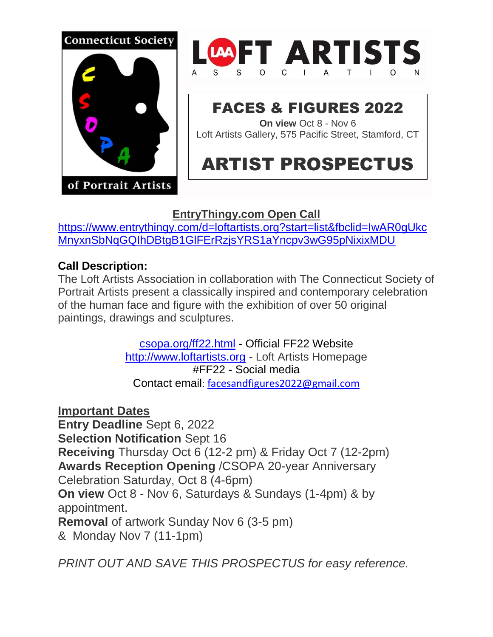



#### FACES & FIGURES 2022 **On view** Oct 8 - Nov 6

Loft Artists Gallery, 575 Pacific Street, Stamford, CT

# ARTIST PROSPECTUS

# **EntryThingy.com Open Call**

[https://www.entrythingy.com/d=loftartists.org?start=list&fbclid=IwAR0gUkc](https://www.entrythingy.com/d=loftartists.org?start=list&fbclid=IwAR0gUkcMnyxnSbNqGQIhDBtgB1GlFErRzjsYRS1aYncpv3wG95pNixixMDU) [MnyxnSbNqGQIhDBtgB1GlFErRzjsYRS1aYncpv3wG95pNixixMDU](https://www.entrythingy.com/d=loftartists.org?start=list&fbclid=IwAR0gUkcMnyxnSbNqGQIhDBtgB1GlFErRzjsYRS1aYncpv3wG95pNixixMDU)

### **Call Description:**

The Loft Artists Association in collaboration with The Connecticut Society of Portrait Artists present a classically inspired and contemporary celebration of the human face and figure with the exhibition of over 50 original paintings, drawings and sculptures.

> [csopa.org/ff22.html](http://www.csopa.org/ff22.html) - Official FF22 Website [http://www.loftartists.org](http://www.loftartists.org/) - Loft Artists Homepage #FF22 - Social media Contact email: [facesandfigures2022@gmail.com](file:///F:/FF22/FF22Prospectus/facesandfigures2022@gmail.com)

**Important Dates Entry Deadline** Sept 6, 2022 **Selection Notification** Sept 16 **Receiving** Thursday Oct 6 (12-2 pm) & Friday Oct 7 (12-2pm) **Awards Reception Opening** /CSOPA 20-year Anniversary Celebration Saturday, Oct 8 (4-6pm) **On view** Oct 8 - Nov 6, Saturdays & Sundays (1-4pm) & by appointment. **Removal** of artwork Sunday Nov 6 (3-5 pm) & Monday Nov 7 (11-1pm)

*PRINT OUT AND SAVE THIS PROSPECTUS for easy reference.*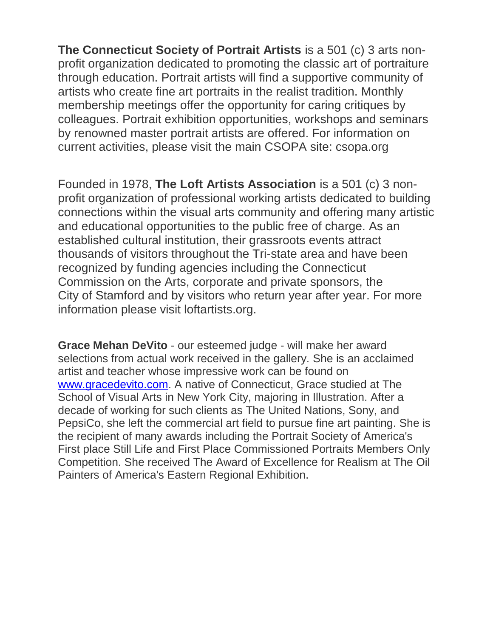**The Connecticut Society of Portrait Artists** is a 501 (c) 3 arts nonprofit organization dedicated to promoting the classic art of portraiture through education. Portrait artists will find a supportive community of artists who create fine art portraits in the realist tradition. Monthly membership meetings offer the opportunity for caring critiques by colleagues. Portrait exhibition opportunities, workshops and seminars by renowned master portrait artists are offered. For information on current activities, please visit the main CSOPA site: csopa.org

Founded in 1978, **The Loft Artists Association** is a 501 (c) 3 nonprofit organization of professional working artists dedicated to building connections within the visual arts community and offering many artistic and educational opportunities to the public free of charge. As an established cultural institution, their grassroots events attract thousands of visitors throughout the Tri-state area and have been recognized by funding agencies including the Connecticut Commission on the Arts, corporate and private sponsors, the City of Stamford and by visitors who return year after year. For more information please visit loftartists.org.

**Grace Mehan DeVito** - our esteemed judge - will make her award selections from actual work received in the gallery. She is an acclaimed artist and teacher whose impressive work can be found on [www.gracedevito.com.](file:///F:/FF22/FF22Prospectus/www.gracedevito.com) A native of Connecticut, Grace studied at The School of Visual Arts in New York City, majoring in Illustration. After a decade of working for such clients as The United Nations, Sony, and PepsiCo, she left the commercial art field to pursue fine art painting. She is the recipient of many awards including the Portrait Society of America's First place Still Life and First Place Commissioned Portraits Members Only Competition. She received The Award of Excellence for Realism at The Oil Painters of America's Eastern Regional Exhibition.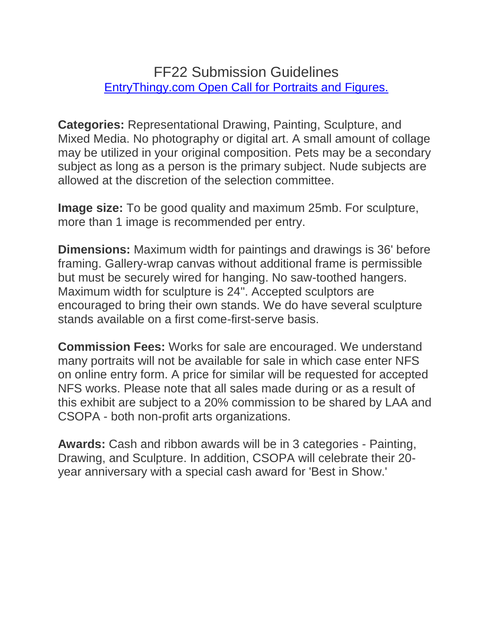# FF22 Submission Guidelines [EntryThingy.com Open Call for Portraits and Figures.](https://www.entrythingy.com/d=loftartists.org?start=list&fbclid=IwAR0gUkcMnyxnSbNqGQIhDBtgB1GlFErRzjsYRS1aYncpv3wG95pNixixMDU)

**Categories:** Representational Drawing, Painting, Sculpture, and Mixed Media. No photography or digital art. A small amount of collage may be utilized in your original composition. Pets may be a secondary subject as long as a person is the primary subject. Nude subjects are allowed at the discretion of the selection committee.

**Image size:** To be good quality and maximum 25mb. For sculpture, more than 1 image is recommended per entry.

**Dimensions:** Maximum width for paintings and drawings is 36' before framing. Gallery-wrap canvas without additional frame is permissible but must be securely wired for hanging. No saw-toothed hangers. Maximum width for sculpture is 24". Accepted sculptors are encouraged to bring their own stands. We do have several sculpture stands available on a first come-first-serve basis.

**Commission Fees:** Works for sale are encouraged. We understand many portraits will not be available for sale in which case enter NFS on online entry form. A price for similar will be requested for accepted NFS works. Please note that all sales made during or as a result of this exhibit are subject to a 20% commission to be shared by LAA and CSOPA - both non-profit arts organizations.

**Awards:** Cash and ribbon awards will be in 3 categories - Painting, Drawing, and Sculpture. In addition, CSOPA will celebrate their 20 year anniversary with a special cash award for 'Best in Show.'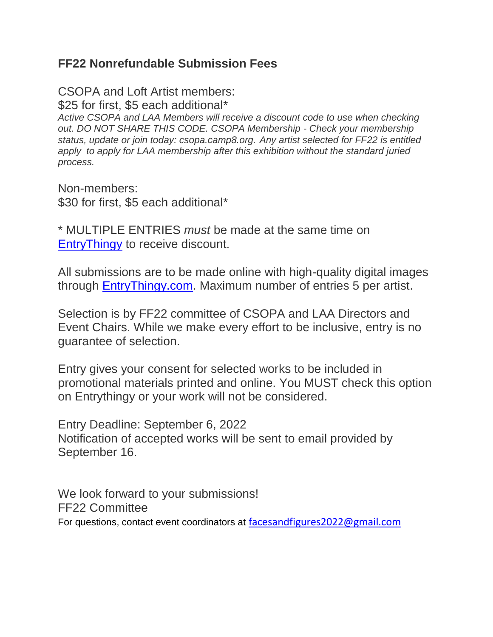#### **FF22 Nonrefundable Submission Fees**

CSOPA and Loft Artist members: \$25 for first, \$5 each additional\* *Active CSOPA and LAA Members will receive a discount code to use when checking out. DO NOT SHARE THIS CODE. CSOPA Membership - Check your membership status, update or join today: csopa.camp8.org. Any artist selected for FF22 is entitled*  apply to apply for LAA membership after this exhibition without the standard juried *process.*

Non-members: \$30 for first, \$5 each additional\*

\* MULTIPLE ENTRIES *must* be made at the same time on [EntryThingy](https://www.entrythingy.com/d=loftartists.org?start=list&fbclid=IwAR0gUkcMnyxnSbNqGQIhDBtgB1GlFErRzjsYRS1aYncpv3wG95pNixixMDU) to receive discount.

All submissions are to be made online with high-quality digital images through [EntryThingy.com.](https://www.entrythingy.com/d=loftartists.org?start=list&fbclid=IwAR0gUkcMnyxnSbNqGQIhDBtgB1GlFErRzjsYRS1aYncpv3wG95pNixixMDU) Maximum number of entries 5 per artist.

Selection is by FF22 committee of CSOPA and LAA Directors and Event Chairs. While we make every effort to be inclusive, entry is no guarantee of selection.

Entry gives your consent for selected works to be included in promotional materials printed and online. You MUST check this option on Entrythingy or your work will not be considered.

Entry Deadline: September 6, 2022 Notification of accepted works will be sent to email provided by September 16.

We look forward to your submissions! FF22 Committee For questions, contact event coordinators at [facesandfigures2022@gmail.com](file:///F:/FF22/FF22Prospectus/facesandfigures2022@gmail.com)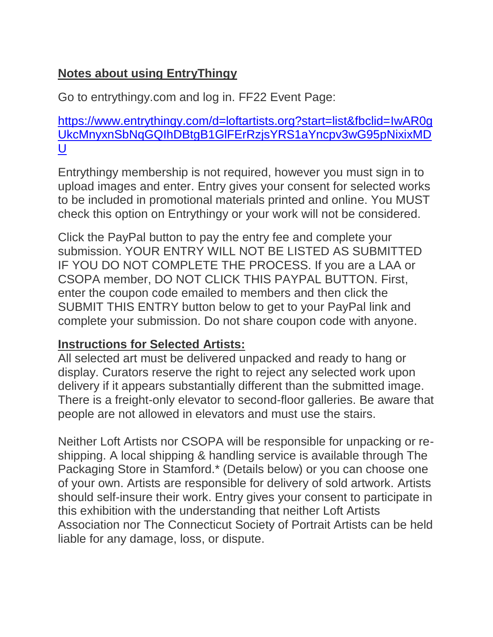# **Notes about using EntryThingy**

Go to entrythingy.com and log in. FF22 Event Page:

[https://www.entrythingy.com/d=loftartists.org?start=list&fbclid=IwAR0g](https://www.entrythingy.com/d=loftartists.org?start=list&fbclid=IwAR0gUkcMnyxnSbNqGQIhDBtgB1GlFErRzjsYRS1aYncpv3wG95pNixixMDU) [UkcMnyxnSbNqGQIhDBtgB1GlFErRzjsYRS1aYncpv3wG95pNixixMD](https://www.entrythingy.com/d=loftartists.org?start=list&fbclid=IwAR0gUkcMnyxnSbNqGQIhDBtgB1GlFErRzjsYRS1aYncpv3wG95pNixixMDU) [U](https://www.entrythingy.com/d=loftartists.org?start=list&fbclid=IwAR0gUkcMnyxnSbNqGQIhDBtgB1GlFErRzjsYRS1aYncpv3wG95pNixixMDU)

Entrythingy membership is not required, however you must sign in to upload images and enter. Entry gives your consent for selected works to be included in promotional materials printed and online. You MUST check this option on Entrythingy or your work will not be considered.

Click the PayPal button to pay the entry fee and complete your submission. YOUR ENTRY WILL NOT BE LISTED AS SUBMITTED IF YOU DO NOT COMPLETE THE PROCESS. If you are a LAA or CSOPA member, DO NOT CLICK THIS PAYPAL BUTTON. First, enter the coupon code emailed to members and then click the SUBMIT THIS ENTRY button below to get to your PayPal link and complete your submission. Do not share coupon code with anyone.

# **Instructions for Selected Artists:**

All selected art must be delivered unpacked and ready to hang or display. Curators reserve the right to reject any selected work upon delivery if it appears substantially different than the submitted image. There is a freight-only elevator to second-floor galleries. Be aware that people are not allowed in elevators and must use the stairs.

Neither Loft Artists nor CSOPA will be responsible for unpacking or reshipping. A local shipping & handling service is available through The Packaging Store in Stamford.\* (Details below) or you can choose one of your own. Artists are responsible for delivery of sold artwork. Artists should self-insure their work. Entry gives your consent to participate in this exhibition with the understanding that neither Loft Artists Association nor The Connecticut Society of Portrait Artists can be held liable for any damage, loss, or dispute.